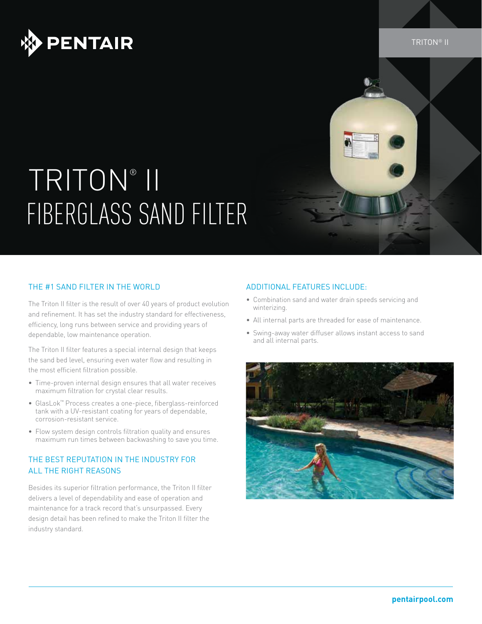

# TRITON® II FIBERGLASS SAND FILTER

### THE #1 SAND FILTER IN THE WORLD

The Triton II filter is the result of over 40 years of product evolution and refinement. It has set the industry standard for effectiveness, efficiency, long runs between service and providing years of dependable, low maintenance operation.

The Triton II filter features a special internal design that keeps the sand bed level, ensuring even water flow and resulting in the most efficient filtration possible.

- Time-proven internal design ensures that all water receives maximum filtration for crystal clear results.
- • GlasLok™ Process creates a one-piece, fiberglass-reinforced tank with a UV-resistant coating for years of dependable, corrosion-resistant service.
- Flow system design controls filtration quality and ensures maximum run times between backwashing to save you time.

### The Best Reputation in the Industry for all the Right Reasons

Besides its superior filtration performance, the Triton II filter delivers a level of dependability and ease of operation and maintenance for a track record that's unsurpassed. Every design detail has been refined to make the Triton II filter the industry standard.

#### Additional Features Include:

- • Combination sand and water drain speeds servicing and winterizing.
- All internal parts are threaded for ease of maintenance.
- Swing-away water diffuser allows instant access to sand and all internal parts.



TRITON® II